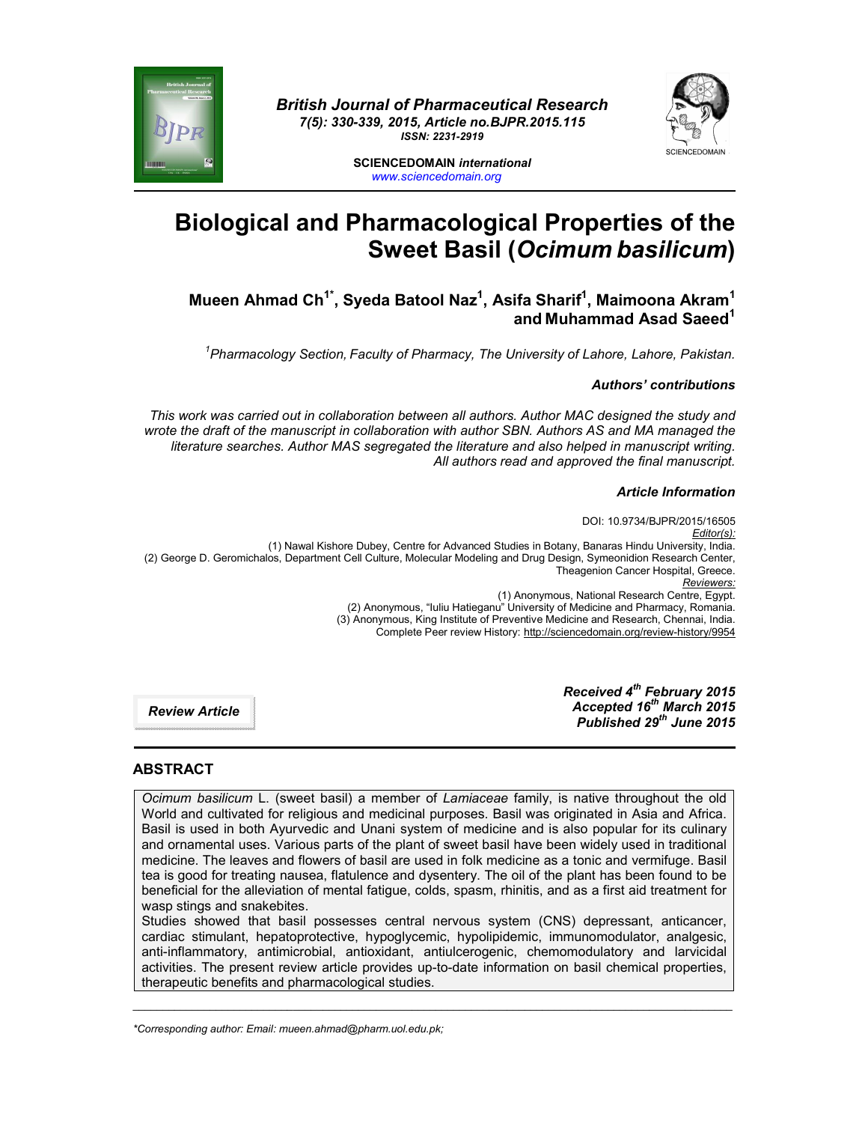



**SCIENCEDOMAIN** *international www.sciencedomain.org*

# **Biological and Pharmacological Properties of the Sweet Basil (***Ocimum basilicum***)**

**Mueen Ahmad Ch1\* , Syeda Batool Naz1 , Asifa Sharif1 , Maimoona Akram<sup>1</sup> and Muhammad Asad Saeed1**

*1 Pharmacology Section, Faculty of Pharmacy, The University of Lahore, Lahore, Pakistan.*

#### *Authors' contributions*

*This work was carried out in collaboration between all authors. Author MAC designed the study and wrote the draft of the manuscript in collaboration with author SBN. Authors AS and MA managed the literature searches. Author MAS segregated the literature and also helped in manuscript writing. All authors read and approved the final manuscript.*

#### *Article Information*

DOI: 10.9734/BJPR/2015/16505 *Editor(s):* (1) Nawal Kishore Dubey, Centre for Advanced Studies in Botany, Banaras Hindu University, India. (2) George D. Geromichalos, Department Cell Culture, Molecular Modeling and Drug Design, Symeonidion Research Center, Theagenion Cancer Hospital, Greece. *Reviewers:* (1) Anonymous, National Research Centre, Egypt. (2) Anonymous, "Iuliu Hatieganu" University of Medicine and Pharmacy, Romania. (3) Anonymous, King Institute of Preventive Medicine and Research, Chennai, India. Complete Peer review History: http://sciencedomain.org/review-history/9954

> *Received 4th February 2015 Accepted 16th March 2015 Published 29th June 2015*

*Review Article*

# **ABSTRACT**

*Ocimum basilicum* L. (sweet basil) a member of *Lamiaceae* family, is native throughout the old World and cultivated for religious and medicinal purposes. Basil was originated in Asia and Africa. Basil is used in both Ayurvedic and Unani system of medicine and is also popular for its culinary and ornamental uses. Various parts of the plant of sweet basil have been widely used in traditional medicine. The leaves and flowers of basil are used in folk medicine as a tonic and vermifuge. Basil tea is good for treating nausea, flatulence and dysentery. The oil of the plant has been found to be beneficial for the alleviation of mental fatigue, colds, spasm, rhinitis, and as a first aid treatment for wasp stings and snakebites.

Studies showed that basil possesses central nervous system (CNS) depressant, anticancer, cardiac stimulant, hepatoprotective, hypoglycemic, hypolipidemic, immunomodulator, analgesic, anti-inflammatory, antimicrobial, antioxidant, antiulcerogenic, chemomodulatory and larvicidal activities. The present review article provides up-to-date information on basil chemical properties, therapeutic benefits and pharmacological studies.

\_\_\_\_\_\_\_\_\_\_\_\_\_\_\_\_\_\_\_\_\_\_\_\_\_\_\_\_\_\_\_\_\_\_\_\_\_\_\_\_\_\_\_\_\_\_\_\_\_\_\_\_\_\_\_\_\_\_\_\_\_\_\_\_\_\_\_\_\_\_\_\_\_\_\_\_\_\_\_\_\_\_\_\_\_\_\_\_\_\_\_\_\_\_\_\_\_\_\_\_\_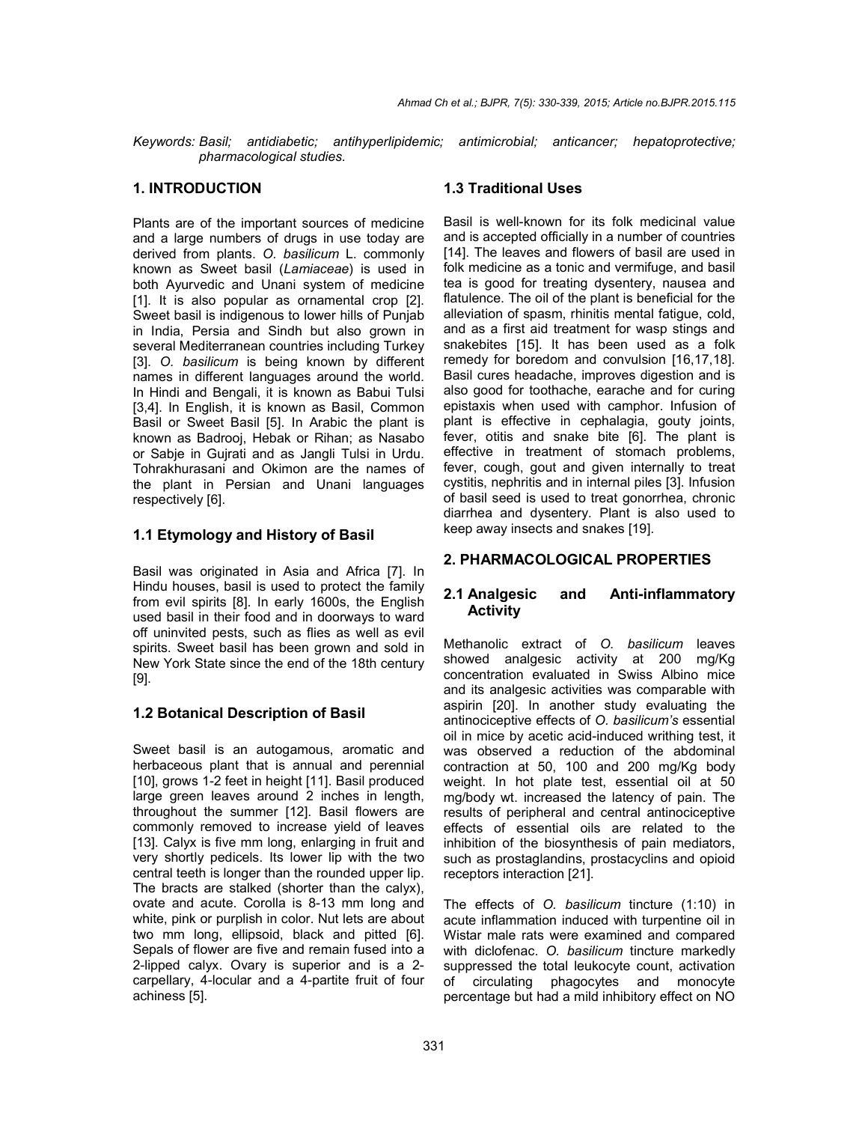*Keywords: Basil; antidiabetic; antihyperlipidemic; antimicrobial; anticancer; hepatoprotective; pharmacological studies.*

## **1. INTRODUCTION**

Plants are of the important sources of medicine and a large numbers of drugs in use today are derived from plants. *O. basilicum* L. commonly known as Sweet basil (*Lamiaceae*) is used in both Ayurvedic and Unani system of medicine [1]. It is also popular as ornamental crop [2]. Sweet basil is indigenous to lower hills of Punjab in India, Persia and Sindh but also grown in several Mediterranean countries including Turkey [3]. *O. basilicum* is being known by different names in different languages around the world. In Hindi and Bengali, it is known as Babui Tulsi [3,4]. In English, it is known as Basil, Common Basil or Sweet Basil [5]. In Arabic the plant is known as Badrooj, Hebak or Rihan; as Nasabo or Sabje in Gujrati and as Jangli Tulsi in Urdu. Tohrakhurasani and Okimon are the names of the plant in Persian and Unani languages respectively [6].

## **1.1 Etymology and History of Basil**

Basil was originated in Asia and Africa [7]. In Hindu houses, basil is used to protect the family from evil spirits [8]. In early 1600s, the English used basil in their food and in doorways to ward off uninvited pests, such as flies as well as evil spirits. Sweet basil has been grown and sold in New York State since the end of the 18th century [9].

## **1.2 Botanical Description of Basil**

Sweet basil is an autogamous, aromatic and herbaceous plant that is annual and perennial [10], grows 1-2 feet in height [11]. Basil produced large green leaves around 2 inches in length, throughout the summer [12]. Basil flowers are commonly removed to increase yield of leaves [13]. Calyx is five mm long, enlarging in fruit and very shortly pedicels. Its lower lip with the two central teeth is longer than the rounded upper lip. The bracts are stalked (shorter than the calyx), ovate and acute. Corolla is 8-13 mm long and white, pink or purplish in color. Nut lets are about two mm long, ellipsoid, black and pitted [6]. Sepals of flower are five and remain fused into a 2-lipped calyx. Ovary is superior and is a 2 carpellary, 4-locular and a 4-partite fruit of four achiness [5].

#### **1.3 Traditional Uses**

Basil is well-known for its folk medicinal value and is accepted officially in a number of countries [14]. The leaves and flowers of basil are used in folk medicine as a tonic and vermifuge, and basil tea is good for treating dysentery, nausea and flatulence. The oil of the plant is beneficial for the alleviation of spasm, rhinitis mental fatigue, cold, and as a first aid treatment for wasp stings and snakebites [15]. It has been used as a folk remedy for boredom and convulsion [16,17,18]. Basil cures headache, improves digestion and is also good for toothache, earache and for curing epistaxis when used with camphor. Infusion of plant is effective in cephalagia, gouty joints, fever, otitis and snake bite [6]. The plant is effective in treatment of stomach problems, fever, cough, gout and given internally to treat cystitis, nephritis and in internal piles [3]. Infusion of basil seed is used to treat gonorrhea, chronic diarrhea and dysentery. Plant is also used to keep away insects and snakes [19].

## **2. PHARMACOLOGICAL PROPERTIES**

## **2.1 Analgesic and Anti-inflammatory Activity**

Methanolic extract of *O. basilicum* leaves showed analgesic activity at 200 mg/Kg concentration evaluated in Swiss Albino mice and its analgesic activities was comparable with aspirin [20]. In another study evaluating the antinociceptive effects of *O. basilicum's* essential oil in mice by acetic acid-induced writhing test, it was observed a reduction of the abdominal contraction at 50, 100 and 200 mg/Kg body weight. In hot plate test, essential oil at 50 mg/body wt. increased the latency of pain. The results of peripheral and central antinociceptive effects of essential oils are related to the inhibition of the biosynthesis of pain mediators, such as prostaglandins, prostacyclins and opioid receptors interaction [21].

The effects of *O. basilicum* tincture (1:10) in acute inflammation induced with turpentine oil in Wistar male rats were examined and compared with diclofenac. *O. basilicum* tincture markedly suppressed the total leukocyte count, activation of circulating phagocytes and monocyte percentage but had a mild inhibitory effect on NO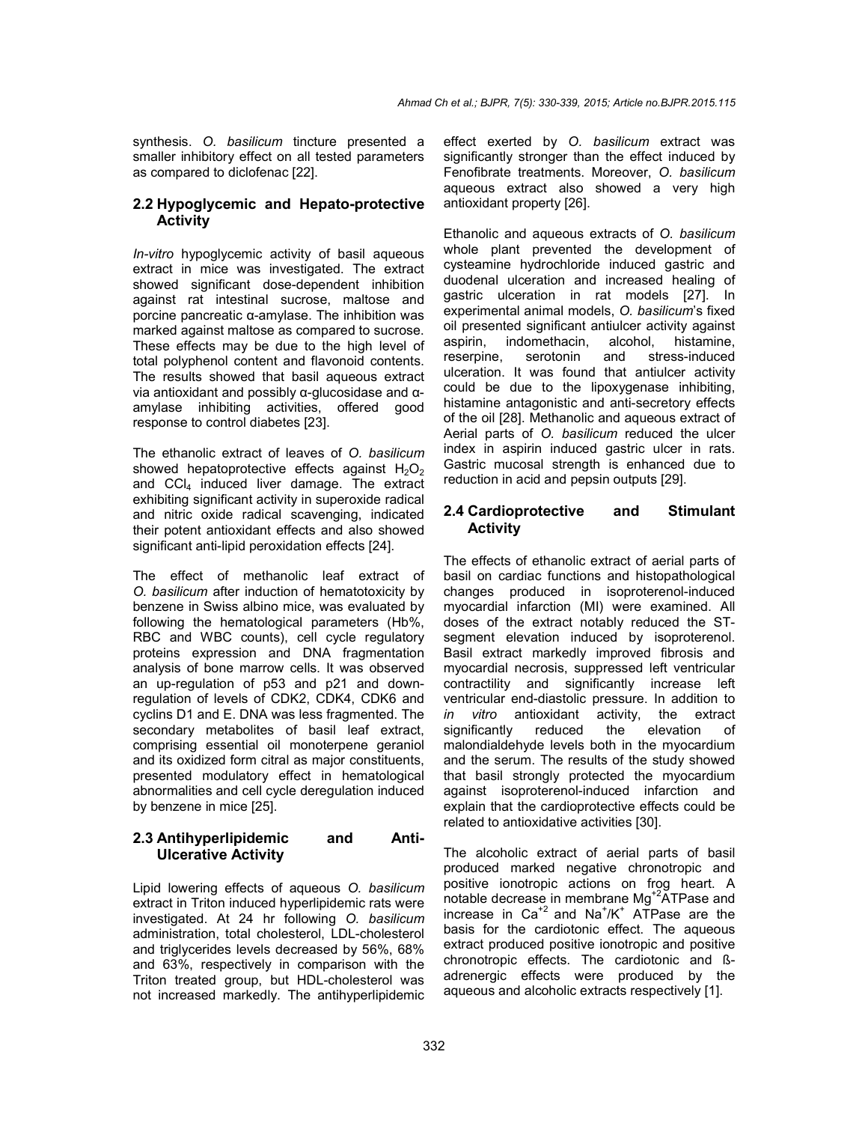synthesis. *O. basilicum* tincture presented a smaller inhibitory effect on all tested parameters as compared to diclofenac [22].

#### **2.2 Hypoglycemic and Hepato-protective Activity**

*In-vitro* hypoglycemic activity of basil aqueous extract in mice was investigated. The extract showed significant dose-dependent inhibition against rat intestinal sucrose, maltose and porcine pancreatic α-amylase. The inhibition was marked against maltose as compared to sucrose. These effects may be due to the high level of total polyphenol content and flavonoid contents. The results showed that basil aqueous extract via antioxidant and possibly α-glucosidase and αamylase inhibiting activities, offered good response to control diabetes [23].

The ethanolic extract of leaves of *O. basilicum* showed hepatoprotective effects against  $H_2O_2$ and CCI<sub>4</sub> induced liver damage. The extract exhibiting significant activity in superoxide radical and nitric oxide radical scavenging, indicated their potent antioxidant effects and also showed significant anti-lipid peroxidation effects [24].

The effect of methanolic leaf extract of *O. basilicum* after induction of hematotoxicity by benzene in Swiss albino mice, was evaluated by following the hematological parameters (Hb%, RBC and WBC counts), cell cycle regulatory proteins expression and DNA fragmentation analysis of bone marrow cells. It was observed an up-regulation of p53 and p21 and downregulation of levels of CDK2, CDK4, CDK6 and cyclins D1 and E. DNA was less fragmented. The secondary metabolites of basil leaf extract, comprising essential oil monoterpene geraniol and its oxidized form citral as major constituents, presented modulatory effect in hematological abnormalities and cell cycle deregulation induced by benzene in mice [25].

## **2.3 Antihyperlipidemic and Anti-Ulcerative Activity**

Lipid lowering effects of aqueous *O. basilicum*  extract in Triton induced hyperlipidemic rats were investigated. At 24 hr following *O. basilicum* administration, total cholesterol, LDL-cholesterol and triglycerides levels decreased by 56%, 68% and 63%, respectively in comparison with the Triton treated group, but HDL-cholesterol was not increased markedly. The antihyperlipidemic effect exerted by *O. basilicum* extract was significantly stronger than the effect induced by Fenofibrate treatments. Moreover, *O. basilicum* aqueous extract also showed a very high antioxidant property [26].

Ethanolic and aqueous extracts of *O. basilicum*  whole plant prevented the development of cysteamine hydrochloride induced gastric and duodenal ulceration and increased healing of gastric ulceration in rat models [27]. In experimental animal models, *O. basilicum*'s fixed oil presented significant antiulcer activity against aspirin, indomethacin, alcohol, histamine, reserpine, serotonin and stress-induced ulceration. It was found that antiulcer activity could be due to the lipoxygenase inhibiting, histamine antagonistic and anti-secretory effects of the oil [28]. Methanolic and aqueous extract of Aerial parts of *O. basilicum* reduced the ulcer index in aspirin induced gastric ulcer in rats. Gastric mucosal strength is enhanced due to reduction in acid and pepsin outputs [29].

## **2.4 Cardioprotective and Stimulant Activity**

The effects of ethanolic extract of aerial parts of basil on cardiac functions and histopathological changes produced in isoproterenol-induced myocardial infarction (MI) were examined. All doses of the extract notably reduced the STsegment elevation induced by isoproterenol. Basil extract markedly improved fibrosis and myocardial necrosis, suppressed left ventricular contractility and significantly increase left ventricular end-diastolic pressure. In addition to *in vitro* antioxidant activity, the extract significantly reduced the elevation of malondialdehyde levels both in the myocardium and the serum. The results of the study showed that basil strongly protected the myocardium against isoproterenol-induced infarction and explain that the cardioprotective effects could be related to antioxidative activities [30].

The alcoholic extract of aerial parts of basil produced marked negative chronotropic and positive ionotropic actions on frog heart. A notable decrease in membrane Mg<sup>+2</sup>ATPase and increase in  $Ca^{2}$  and Na<sup>+</sup>/K<sup>+</sup> ATPase are the basis for the cardiotonic effect. The aqueous extract produced positive ionotropic and positive chronotropic effects. The cardiotonic and ßadrenergic effects were produced by the aqueous and alcoholic extracts respectively [1].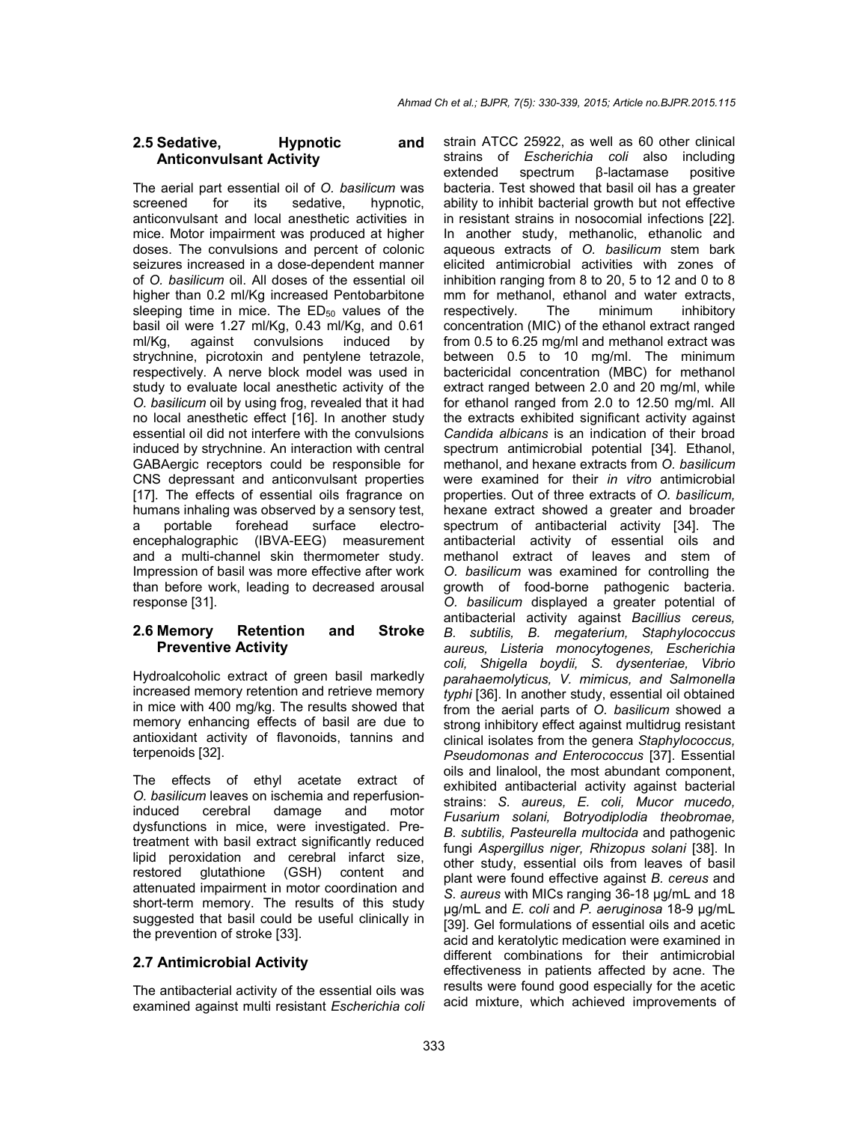#### **2.5 Sedative, Hypnotic and Anticonvulsant Activity**

The aerial part essential oil of *O. basilicum* was screened for its sedative, hypnotic, anticonvulsant and local anesthetic activities in mice. Motor impairment was produced at higher doses. The convulsions and percent of colonic seizures increased in a dose-dependent manner of *O. basilicum* oil. All doses of the essential oil higher than 0.2 ml/Kg increased Pentobarbitone sleeping time in mice. The  $ED_{50}$  values of the basil oil were 1.27 ml/Kg, 0.43 ml/Kg, and 0.61 ml/Kg, against convulsions induced by strychnine, picrotoxin and pentylene tetrazole, respectively. A nerve block model was used in study to evaluate local anesthetic activity of the *O. basilicum* oil by using frog, revealed that it had no local anesthetic effect [16]. In another study essential oil did not interfere with the convulsions induced by strychnine. An interaction with central GABAergic receptors could be responsible for CNS depressant and anticonvulsant properties [17]. The effects of essential oils fragrance on humans inhaling was observed by a sensory test, a portable forehead surface electroencephalographic (IBVA-EEG) measurement and a multi-channel skin thermometer study. Impression of basil was more effective after work than before work, leading to decreased arousal response [31].

#### **2.6 Memory Retention and Stroke Preventive Activity**

Hydroalcoholic extract of green basil markedly increased memory retention and retrieve memory in mice with 400 mg/kg. The results showed that memory enhancing effects of basil are due to antioxidant activity of flavonoids, tannins and terpenoids [32].

The effects of ethyl acetate extract of *O. basilicum* leaves on ischemia and reperfusioninduced cerebral damage and motor dysfunctions in mice, were investigated. Pretreatment with basil extract significantly reduced lipid peroxidation and cerebral infarct size,<br>restored alutathione (GSH) content and qlutathione (GSH) content and attenuated impairment in motor coordination and short-term memory. The results of this study suggested that basil could be useful clinically in the prevention of stroke [33].

## **2.7 Antimicrobial Activity**

The antibacterial activity of the essential oils was examined against multi resistant *Escherichia coli* strain ATCC 25922, as well as 60 other clinical strains of *Escherichia coli* also including extended spectrum β-lactamase positive bacteria. Test showed that basil oil has a greater ability to inhibit bacterial growth but not effective in resistant strains in nosocomial infections [22]. In another study, methanolic, ethanolic and aqueous extracts of *O. basilicum* stem bark elicited antimicrobial activities with zones of inhibition ranging from 8 to 20, 5 to 12 and 0 to 8 mm for methanol, ethanol and water extracts, respectively. The minimum inhibitory concentration (MIC) of the ethanol extract ranged from 0.5 to 6.25 mg/ml and methanol extract was between 0.5 to 10 mg/ml. The minimum bactericidal concentration (MBC) for methanol extract ranged between 2.0 and 20 mg/ml, while for ethanol ranged from 2.0 to 12.50 mg/ml. All the extracts exhibited significant activity against *Candida albicans* is an indication of their broad spectrum antimicrobial potential [34]. Ethanol, methanol, and hexane extracts from *O. basilicum* were examined for their *in vitro* antimicrobial properties. Out of three extracts of *O. basilicum,* hexane extract showed a greater and broader spectrum of antibacterial activity [34]. The antibacterial activity of essential oils and methanol extract of leaves and stem of *O. basilicum* was examined for controlling the growth of food-borne pathogenic bacteria. *O. basilicum* displayed a greater potential of antibacterial activity against *Bacillius cereus, B. subtilis, B. megaterium, Staphylococcus aureus, Listeria monocytogenes, Escherichia coli, Shigella boydii, S. dysenteriae, Vibrio parahaemolyticus, V. mimicus, and Salmonella typhi* [36]. In another study, essential oil obtained from the aerial parts of *O. basilicum* showed a strong inhibitory effect against multidrug resistant clinical isolates from the genera *Staphylococcus, Pseudomonas and Enterococcus* [37]. Essential oils and linalool, the most abundant component, exhibited antibacterial activity against bacterial strains: *S. aureus, E. coli, Mucor mucedo, Fusarium solani, Botryodiplodia theobromae, B. subtilis, Pasteurella multocida* and pathogenic fungi *Aspergillus niger, Rhizopus solani* [38]. In other study, essential oils from leaves of basil plant were found effective against *B. cereus* and *S. aureus* with MICs ranging 36-18 μg/mL and 18 μg/mL and *E. coli* and *P. aeruginosa* 18-9 μg/mL [39]. Gel formulations of essential oils and acetic acid and keratolytic medication were examined in different combinations for their antimicrobial effectiveness in patients affected by acne. The results were found good especially for the acetic acid mixture, which achieved improvements of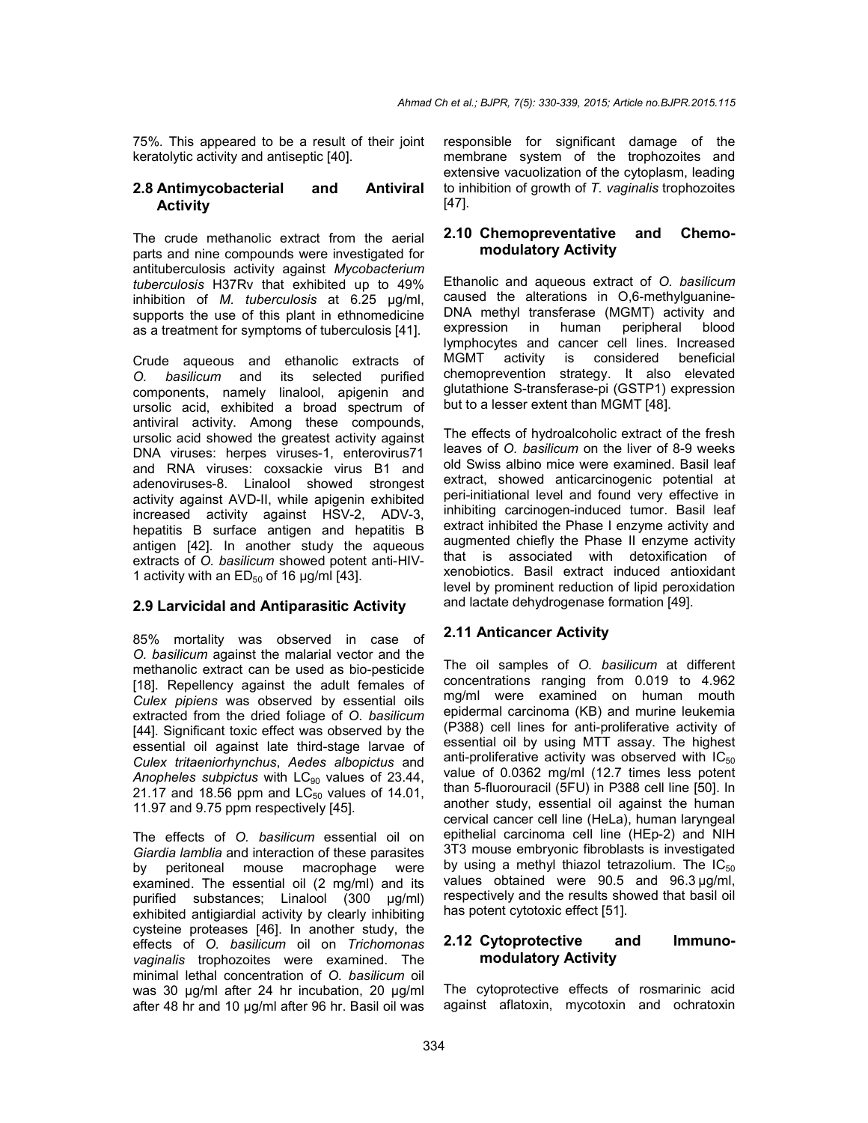75%. This appeared to be a result of their joint keratolytic activity and antiseptic [40].

#### **2.8 Antimycobacterial and Antiviral Activity**

The crude methanolic extract from the aerial parts and nine compounds were investigated for antituberculosis activity against *Mycobacterium tuberculosis* H37Rv that exhibited up to 49% inhibition of *M. tuberculosis* at 6.25 μg/ml, supports the use of this plant in ethnomedicine as a treatment for symptoms of tuberculosis [41].

Crude aqueous and ethanolic extracts of *O. basilicum* and its selected purified components, namely linalool, apigenin and ursolic acid, exhibited a broad spectrum of antiviral activity. Among these compounds, ursolic acid showed the greatest activity against DNA viruses: herpes viruses-1, enterovirus71 and RNA viruses: coxsackie virus B1 and adenoviruses-8. Linalool showed strongest activity against AVD-II, while apigenin exhibited increased activity against HSV-2, ADV-3, hepatitis B surface antigen and hepatitis B antigen [42]. In another study the aqueous extracts of *O. basilicum* showed potent anti-HIV-1 activity with an  $ED_{50}$  of 16  $\mu$ g/ml [43].

#### **2.9 Larvicidal and Antiparasitic Activity**

85% mortality was observed in case of *O. basilicum* against the malarial vector and the methanolic extract can be used as bio-pesticide [18]. Repellency against the adult females of *Culex pipiens* was observed by essential oils extracted from the dried foliage of *O. basilicum*  [44]. Significant toxic effect was observed by the essential oil against late third-stage larvae of *Culex tritaeniorhynchus*, *Aedes albopictus* and Anopheles subpictus with LC<sub>90</sub> values of 23.44, 21.17 and 18.56 ppm and  $LC_{50}$  values of 14.01, 11.97 and 9.75 ppm respectively [45].

The effects of *O. basilicum* essential oil on *Giardia lamblia* and interaction of these parasites by peritoneal mouse macrophage were examined. The essential oil (2 mg/ml) and its purified substances; Linalool (300 µg/ml) exhibited antigiardial activity by clearly inhibiting cysteine proteases [46]. In another study, the effects of *O. basilicum* oil on *Trichomonas vaginalis* trophozoites were examined. The minimal lethal concentration of *O. basilicum* oil was 30 μg/ml after 24 hr incubation, 20 μg/ml after 48 hr and 10 μg/ml after 96 hr. Basil oil was responsible for significant damage of the membrane system of the trophozoites and extensive vacuolization of the cytoplasm, leading to inhibition of growth of *T. vaginalis* trophozoites [47].

#### **2.10 Chemopreventative and Chemomodulatory Activity**

Ethanolic and aqueous extract of *O. basilicum* caused the alterations in O,6-methylguanine-DNA methyl transferase (MGMT) activity and expression in human peripheral blood lymphocytes and cancer cell lines. Increased MGMT activity is considered beneficial chemoprevention strategy. It also elevated glutathione S-transferase-pi (GSTP1) expression but to a lesser extent than MGMT [48].

The effects of hydroalcoholic extract of the fresh leaves of *O. basilicum* on the liver of 8-9 weeks old Swiss albino mice were examined. Basil leaf extract, showed anticarcinogenic potential at peri-initiational level and found very effective in inhibiting carcinogen-induced tumor. Basil leaf extract inhibited the Phase I enzyme activity and augmented chiefly the Phase II enzyme activity that is associated with detoxification of xenobiotics. Basil extract induced antioxidant level by prominent reduction of lipid peroxidation and lactate dehydrogenase formation [49].

## **2.11 Anticancer Activity**

The oil samples of *O. basilicum* at different concentrations ranging from 0.019 to 4.962 mg/ml were examined on human mouth epidermal carcinoma (KB) and murine leukemia (P388) cell lines for anti-proliferative activity of essential oil by using MTT assay. The highest anti-proliferative activity was observed with  $IC_{50}$ value of 0.0362 mg/ml (12.7 times less potent than 5-fluorouracil (5FU) in P388 cell line [50]. In another study, essential oil against the human cervical cancer cell line (HeLa), human laryngeal epithelial carcinoma cell line (HEp-2) and NIH 3T3 mouse embryonic fibroblasts is investigated by using a methyl thiazol tetrazolium. The  $IC_{50}$ values obtained were 90.5 and 96.3 µg/ml, respectively and the results showed that basil oil has potent cytotoxic effect [51].

## **2.12 Cytoprotective and Immunomodulatory Activity**

The cytoprotective effects of rosmarinic acid against aflatoxin, mycotoxin and ochratoxin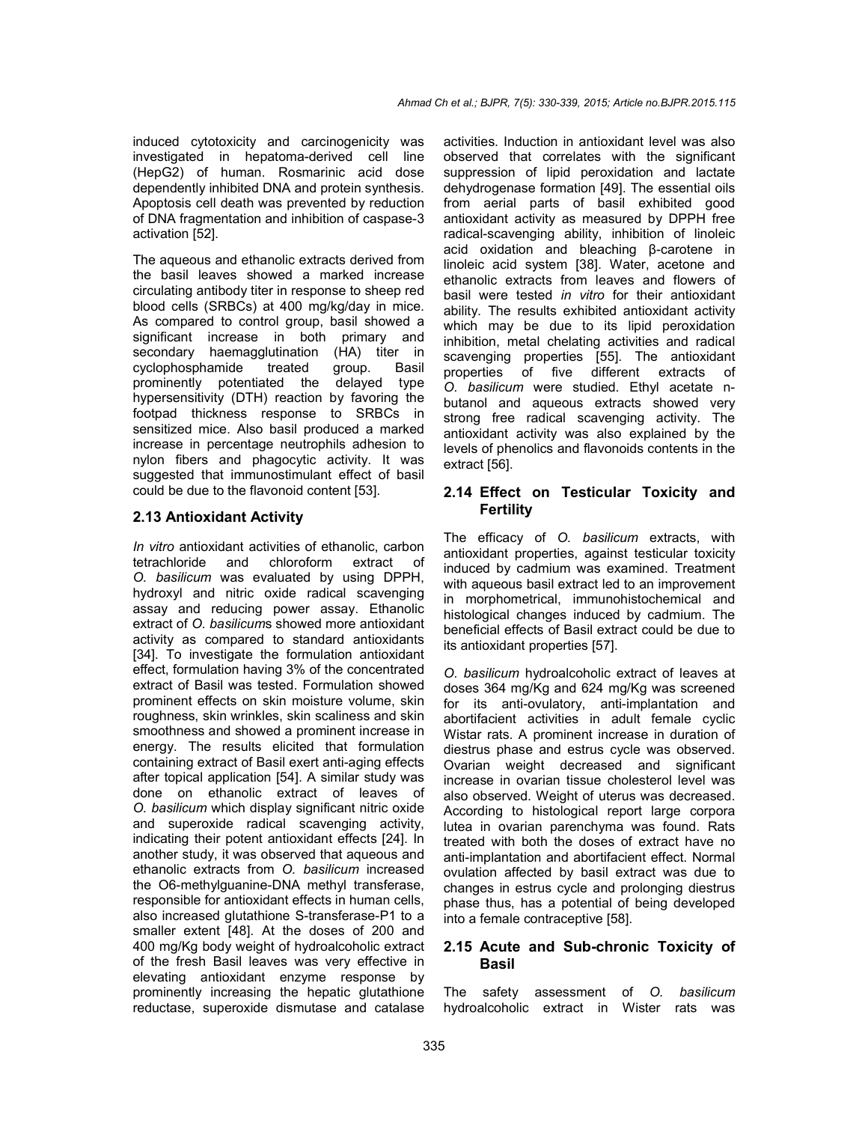induced cytotoxicity and carcinogenicity was investigated in hepatoma-derived cell line (HepG2) of human. Rosmarinic acid dose dependently inhibited DNA and protein synthesis. Apoptosis cell death was prevented by reduction of DNA fragmentation and inhibition of caspase-3 activation [52].

The aqueous and ethanolic extracts derived from the basil leaves showed a marked increase circulating antibody titer in response to sheep red blood cells (SRBCs) at 400 mg/kg/day in mice. As compared to control group, basil showed a significant increase in both primary and secondary haemagglutination (HA) titer in<br>cyclophosphamide treated group. Basil cyclophosphamide treated group. Basil prominently potentiated the delayed type hypersensitivity (DTH) reaction by favoring the footpad thickness response to SRBCs in sensitized mice. Also basil produced a marked increase in percentage neutrophils adhesion to nylon fibers and phagocytic activity. It was suggested that immunostimulant effect of basil could be due to the flavonoid content [53].

#### **2.13 Antioxidant Activity**

*In vitro* antioxidant activities of ethanolic, carbon tetrachloride and chloroform extract of *O. basilicum* was evaluated by using DPPH, hydroxyl and nitric oxide radical scavenging assay and reducing power assay. Ethanolic extract of *O. basilicum*s showed more antioxidant activity as compared to standard antioxidants [34]. To investigate the formulation antioxidant effect, formulation having 3% of the concentrated extract of Basil was tested. Formulation showed prominent effects on skin moisture volume, skin roughness, skin wrinkles, skin scaliness and skin smoothness and showed a prominent increase in energy. The results elicited that formulation containing extract of Basil exert anti-aging effects after topical application [54]. A similar study was done on ethanolic extract of leaves of *O. basilicum* which display significant nitric oxide and superoxide radical scavenging activity, indicating their potent antioxidant effects [24]. In another study, it was observed that aqueous and ethanolic extracts from *O. basilicum* increased the O6-methylguanine-DNA methyl transferase, responsible for antioxidant effects in human cells, also increased glutathione S-transferase-P1 to a smaller extent [48]. At the doses of 200 and 400 mg/Kg body weight of hydroalcoholic extract of the fresh Basil leaves was very effective in elevating antioxidant enzyme response by prominently increasing the hepatic glutathione reductase, superoxide dismutase and catalase

activities. Induction in antioxidant level was also observed that correlates with the significant suppression of lipid peroxidation and lactate dehydrogenase formation [49]. The essential oils from aerial parts of basil exhibited good antioxidant activity as measured by DPPH free radical-scavenging ability, inhibition of linoleic acid oxidation and bleaching β-carotene in linoleic acid system [38]. Water, acetone and ethanolic extracts from leaves and flowers of basil were tested *in vitro* for their antioxidant ability. The results exhibited antioxidant activity which may be due to its lipid peroxidation inhibition, metal chelating activities and radical scavenging properties [55]. The antioxidant properties of five different extracts of *O. basilicum* were studied. Ethyl acetate nbutanol and aqueous extracts showed very strong free radical scavenging activity. The antioxidant activity was also explained by the levels of phenolics and flavonoids contents in the extract [56].

#### **2.14 Effect on Testicular Toxicity and Fertility**

The efficacy of *O. basilicum* extracts, with antioxidant properties, against testicular toxicity induced by cadmium was examined. Treatment with aqueous basil extract led to an improvement in morphometrical, immunohistochemical and histological changes induced by cadmium. The beneficial effects of Basil extract could be due to its antioxidant properties [57].

*O. basilicum* hydroalcoholic extract of leaves at doses 364 mg/Kg and 624 mg/Kg was screened for its anti-ovulatory, anti-implantation and abortifacient activities in adult female cyclic Wistar rats. A prominent increase in duration of diestrus phase and estrus cycle was observed. Ovarian weight decreased and significant increase in ovarian tissue cholesterol level was also observed. Weight of uterus was decreased. According to histological report large corpora lutea in ovarian parenchyma was found. Rats treated with both the doses of extract have no anti-implantation and abortifacient effect. Normal ovulation affected by basil extract was due to changes in estrus cycle and prolonging diestrus phase thus, has a potential of being developed into a female contraceptive [58].

## **2.15 Acute and Sub-chronic Toxicity of Basil**

The safety assessment of *O. basilicum*  hydroalcoholic extract in Wister rats was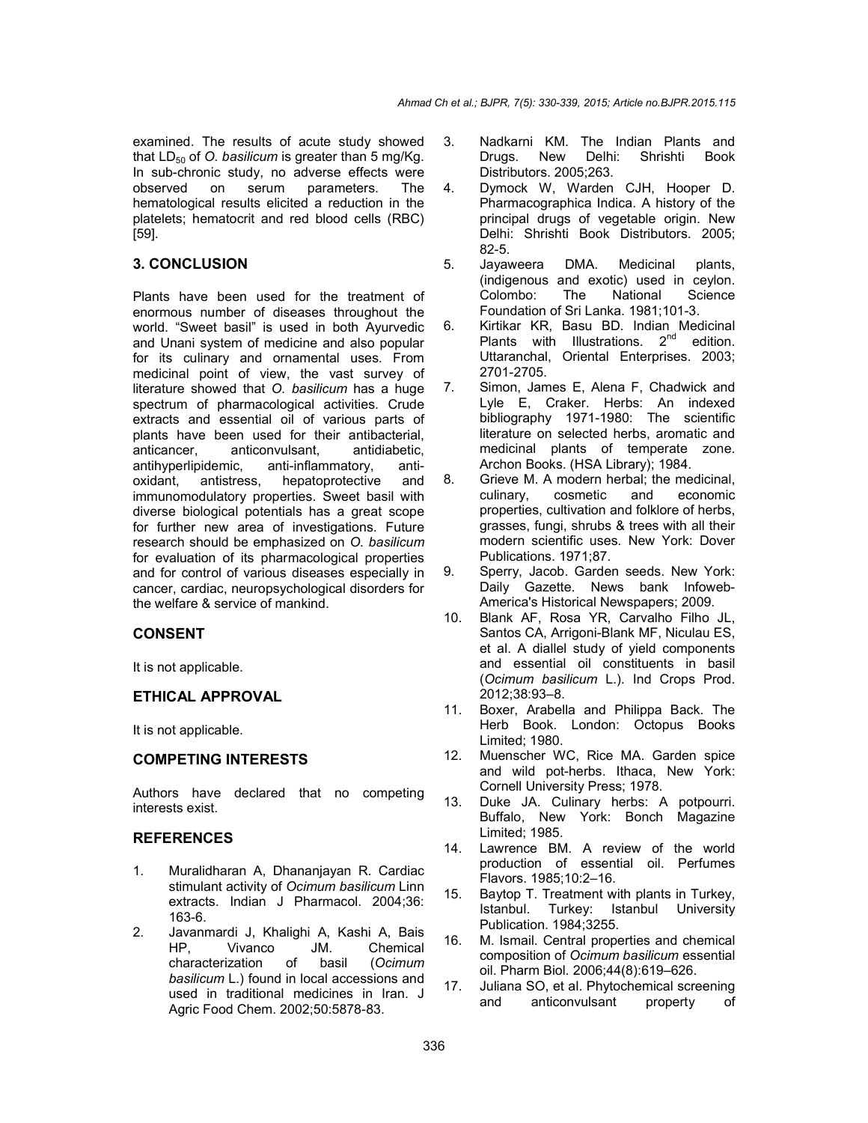examined. The results of acute study showed that  $LD_{50}$  of *O. basilicum* is greater than 5 mg/Kg. In sub-chronic study, no adverse effects were<br>observed on serum parameters. The observed on serum parameters. The hematological results elicited a reduction in the platelets; hematocrit and red blood cells (RBC) [59].

## **3. CONCLUSION**

Plants have been used for the treatment of enormous number of diseases throughout the world. "Sweet basil" is used in both Ayurvedic and Unani system of medicine and also popular for its culinary and ornamental uses. From medicinal point of view, the vast survey of literature showed that *O. basilicum* has a huge spectrum of pharmacological activities. Crude extracts and essential oil of various parts of plants have been used for their antibacterial,<br>anticancer. anticonvulsant. antidiabetic. anticancer, anticonvulsant, antihyperlipidemic, anti-inflammatory, antioxidant, antistress, hepatoprotective and immunomodulatory properties. Sweet basil with diverse biological potentials has a great scope for further new area of investigations. Future research should be emphasized on *O. basilicum* for evaluation of its pharmacological properties and for control of various diseases especially in cancer, cardiac, neuropsychological disorders for the welfare & service of mankind.

# **CONSENT**

It is not applicable.

## **ETHICAL APPROVAL**

It is not applicable.

## **COMPETING INTERESTS**

Authors have declared that no competing interests exist.

## **REFERENCES**

- 1. Muralidharan A, Dhananjayan R. Cardiac stimulant activity of *Ocimum basilicum* Linn extracts. Indian J Pharmacol. 2004;36: 163-6.
- 2. Javanmardi J, Khalighi A, Kashi A, Bais HP, Vivanco JM. Chemical characterization of basil (*Ocimum basilicum* L.) found in local accessions and used in traditional medicines in Iran. J Agric Food Chem. 2002;50:5878-83.
- 3. Nadkarni KM. The Indian Plants and Drugs. New Delhi: Shrishti Book Distributors. 2005;263.
- 4. Dymock W, Warden CJH, Hooper D. Pharmacographica Indica. A history of the principal drugs of vegetable origin. New Delhi: Shrishti Book Distributors. 2005; 82-5.
- 5. Jayaweera DMA. Medicinal plants, (indigenous and exotic) used in ceylon. Colombo: The National Science Foundation of Sri Lanka. 1981;101-3.
- 6. Kirtikar KR, Basu BD. Indian Medicinal Plants with Illustrations. 2<sup>nd</sup> edition. Uttaranchal, Oriental Enterprises. 2003; 2701-2705.
- 7. Simon, James E, Alena F, Chadwick and Lyle E, Craker. Herbs: An indexed bibliography 1971-1980: The scientific literature on selected herbs, aromatic and medicinal plants of temperate zone. Archon Books. (HSA Library); 1984.
- 8. Grieve M. A modern herbal; the medicinal, culinary, cosmetic and economic properties, cultivation and folklore of herbs, grasses, fungi, shrubs & trees with all their modern scientific uses. New York: Dover Publications. 1971;87.
- 9. Sperry, Jacob. Garden seeds. New York: Daily Gazette. News bank Infoweb-America's Historical Newspapers; 2009.
- 10. Blank AF, Rosa YR, Carvalho Filho JL, Santos CA, Arrigoni-Blank MF, Niculau ES, et al. A diallel study of yield components and essential oil constituents in basil (*Ocimum basilicum* L.). Ind Crops Prod. 2012;38:93–8.
- 11. Boxer, Arabella and Philippa Back. The Herb Book. London: Octopus Books Limited; 1980.
- 12. Muenscher WC, Rice MA. Garden spice and wild pot-herbs. Ithaca, New York: Cornell University Press; 1978.
- 13. Duke JA. Culinary herbs: A potpourri. Buffalo, New York: Bonch Magazine Limited; 1985.
- 14. Lawrence BM. A review of the world production of essential oil. Perfumes Flavors. 1985;10:2–16.
- 15. Baytop T. Treatment with plants in Turkey, Istanbul. Turkey: Istanbul University Publication. 1984;3255.
- 16. M. Ismail. Central properties and chemical composition of *Ocimum basilicum* essential oil. Pharm Biol. 2006;44(8):619–626.
- 17. Juliana SO, et al. Phytochemical screening and anticonvulsant property of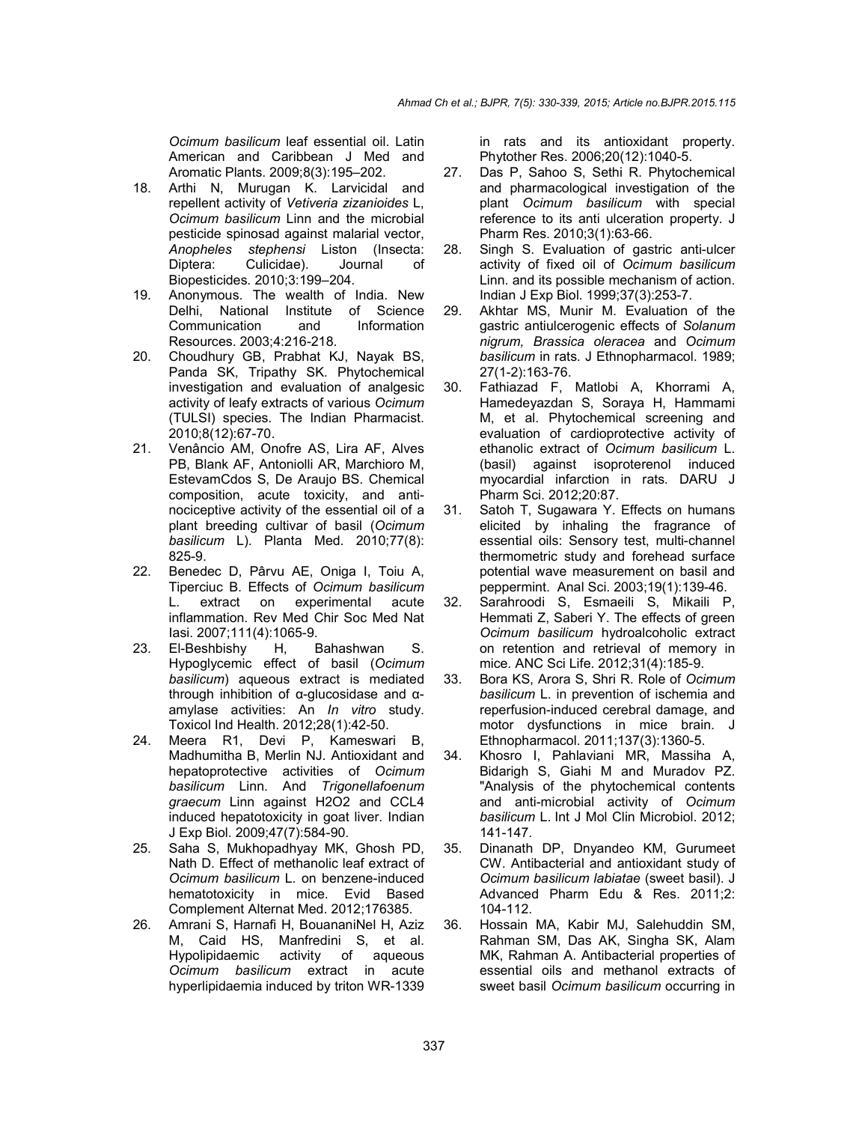*Ocimum basilicum* leaf essential oil. Latin American and Caribbean J Med and Aromatic Plants. 2009;8(3):195–202.

- 18. Arthi N, Murugan K. Larvicidal and repellent activity of *Vetiveria zizanioides* L, *Ocimum basilicum* Linn and the microbial pesticide spinosad against malarial vector, *Anopheles stephensi* Liston (Insecta: Diptera: Culicidae). Journal of Biopesticides. 2010;3:199–204.
- 19. Anonymous. The wealth of India. New Delhi, National Institute of Science<br>Communication and Information Communication and Resources. 2003;4:216-218.
- 20. Choudhury GB, Prabhat KJ, Nayak BS, Panda SK, Tripathy SK. Phytochemical investigation and evaluation of analgesic activity of leafy extracts of various *Ocimum* (TULSI) species. The Indian Pharmacist. 2010;8(12):67-70.
- 21. Venâncio AM, Onofre AS, Lira AF, Alves PB, Blank AF, Antoniolli AR, Marchioro M, EstevamCdos S, De Araujo BS. Chemical composition, acute toxicity, and antinociceptive activity of the essential oil of a plant breeding cultivar of basil (*Ocimum basilicum* L). Planta Med. 2010;77(8): 825-9.
- 22. Benedec D, Pârvu AE, Oniga I, Toiu A, Tiperciuc B. Effects of *Ocimum basilicum* L. extract on experimental acute inflammation. Rev Med Chir Soc Med Nat Iasi. 2007;111(4):1065-9.
- 23. El-Beshbishy H, Bahashwan S. Hypoglycemic effect of basil (*Ocimum basilicum*) aqueous extract is mediated through inhibition of α-glucosidase and αamylase activities: An *In vitro* study. Toxicol Ind Health. 2012;28(1):42-50.
- 24. Meera R1, Devi P, Kameswari B, Madhumitha B, Merlin NJ. Antioxidant and hepatoprotective activities of *Ocimum basilicum* Linn. And *Trigonellafoenum graecum* Linn against H2O2 and CCL4 induced hepatotoxicity in goat liver. Indian J Exp Biol. 2009;47(7):584-90.
- 25. Saha S, Mukhopadhyay MK, Ghosh PD, Nath D. Effect of methanolic leaf extract of *Ocimum basilicum* L. on benzene-induced hematotoxicity in mice. Evid Based Complement Alternat Med. 2012;176385.
- 26. Amrani S, Harnafi H, BouananiNel H, Aziz M, Caid HS, Manfredini S, et al. Hypolipidaemic activity of aqueous *Ocimum basilicum* extract in acute hyperlipidaemia induced by triton WR-1339

in rats and its antioxidant property. Phytother Res. 2006;20(12):1040-5.

- 27. Das P, Sahoo S, Sethi R. Phytochemical and pharmacological investigation of the plant *Ocimum basilicum* with special reference to its anti ulceration property. J Pharm Res. 2010;3(1):63-66.
- 28. Singh S. Evaluation of gastric anti-ulcer activity of fixed oil of *Ocimum basilicum* Linn. and its possible mechanism of action. Indian J Exp Biol. 1999;37(3):253-7.
- 29. Akhtar MS, Munir M. Evaluation of the gastric antiulcerogenic effects of *Solanum nigrum, Brassica oleracea* and *Ocimum basilicum* in rats. J Ethnopharmacol. 1989; 27(1-2):163-76.
- 30. Fathiazad F, Matlobi A, Khorrami A, Hamedeyazdan S, Soraya H, Hammami M, et al. Phytochemical screening and evaluation of cardioprotective activity of ethanolic extract of *Ocimum basilicum* L. (basil) against isoproterenol induced myocardial infarction in rats. DARU J Pharm Sci. 2012;20:87.
- 31. Satoh T, Sugawara Y. Effects on humans elicited by inhaling the fragrance of essential oils: Sensory test, multi-channel thermometric study and forehead surface potential wave measurement on basil and peppermint. Anal Sci. 2003;19(1):139-46.
- 32. Sarahroodi S, Esmaeili S, Mikaili P, Hemmati Z, Saberi Y. The effects of green *Ocimum basilicum* hydroalcoholic extract on retention and retrieval of memory in mice. ANC Sci Life. 2012;31(4):185-9.
- 33. Bora KS, Arora S, Shri R. Role of *Ocimum basilicum* L. in prevention of ischemia and reperfusion-induced cerebral damage, and motor dysfunctions in mice brain. J Ethnopharmacol. 2011;137(3):1360-5.
- 34. Khosro I, Pahlaviani MR, Massiha A, Bidarigh S, Giahi M and Muradov PZ. "Analysis of the phytochemical contents and anti-microbial activity of *Ocimum basilicum* L. Int J Mol Clin Microbiol. 2012; 141-147.
- 35. Dinanath DP, Dnyandeo KM, Gurumeet CW. Antibacterial and antioxidant study of *Ocimum basilicum labiatae* (sweet basil). J Advanced Pharm Edu & Res. 2011;2: 104-112.
- 36. Hossain MA, Kabir MJ, Salehuddin SM, Rahman SM, Das AK, Singha SK, Alam MK, Rahman A. Antibacterial properties of essential oils and methanol extracts of sweet basil *Ocimum basilicum* occurring in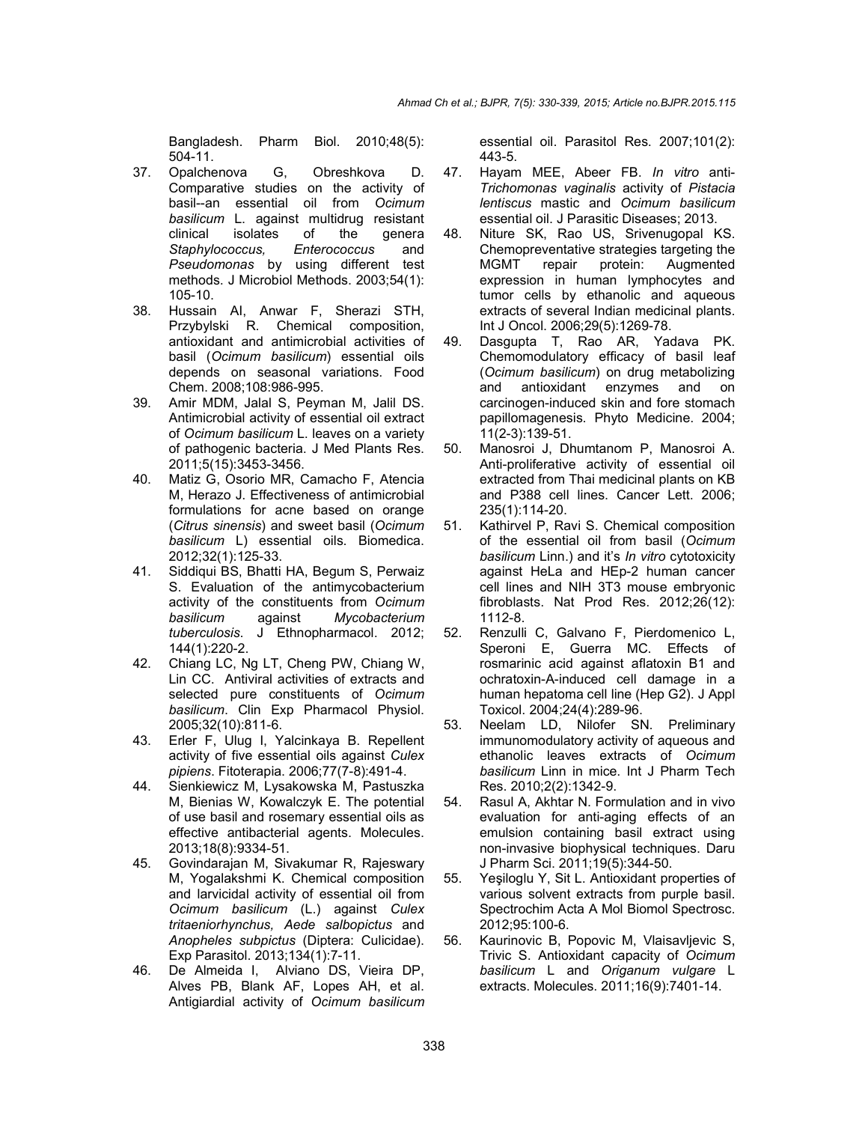Bangladesh. Pharm Biol. 2010;48(5): 504-11.

- 37. Opalchenova G, Obreshkova D. Comparative studies on the activity of basil--an essential oil from *Ocimum*  **basilicum** L. against multidrug resistant clinical isolates of the general isolates of the genera<br>
pccus, Enterococcus and Staphylococcus, Enterococcus *Pseudomonas* by using different test methods. J Microbiol Methods. 2003;54(1): 105-10.
- 38. Hussain AI, Anwar F, Sherazi STH, Przybylski R. Chemical composition, antioxidant and antimicrobial activities of basil (*Ocimum basilicum*) essential oils depends on seasonal variations. Food Chem. 2008;108:986-995.
- 39. Amir MDM, Jalal S, Peyman M, Jalil DS. Antimicrobial activity of essential oil extract of *Ocimum basilicum* L. leaves on a variety of pathogenic bacteria. J Med Plants Res. 2011;5(15):3453-3456.
- 40. Matiz G, Osorio MR, Camacho F, Atencia M, Herazo J. Effectiveness of antimicrobial formulations for acne based on orange (*Citrus sinensis*) and sweet basil (*Ocimum basilicum* L) essential oils. Biomedica. 2012;32(1):125-33.
- 41. Siddiqui BS, Bhatti HA, Begum S, Perwaiz S. Evaluation of the antimycobacterium activity of the constituents from *Ocimum basilicum* against *Mycobacterium tuberculosis*. J Ethnopharmacol. 2012; 144(1):220-2.
- 42. Chiang LC, Ng LT, Cheng PW, Chiang W, Lin CC. Antiviral activities of extracts and selected pure constituents of *Ocimum basilicum*. Clin Exp Pharmacol Physiol. 2005;32(10):811-6.
- 43. Erler F, Ulug I, Yalcinkaya B. Repellent activity of five essential oils against *Culex pipiens*. Fitoterapia. 2006;77(7-8):491-4.
- 44. Sienkiewicz M, Lysakowska M, Pastuszka M, Bienias W, Kowalczyk E. The potential of use basil and rosemary essential oils as effective antibacterial agents. Molecules. 2013;18(8):9334-51.
- 45. Govindarajan M, Sivakumar R, Rajeswary M, Yogalakshmi K. Chemical composition and larvicidal activity of essential oil from *Ocimum basilicum* (L.) against *Culex tritaeniorhynchus, Aede salbopictus* and *Anopheles subpictus* (Diptera: Culicidae). Exp Parasitol. 2013;134(1):7-11.
- 46. De Almeida I, Alviano DS, Vieira DP, Alves PB, Blank AF, Lopes AH, et al. Antigiardial activity of *Ocimum basilicum*

essential oil. Parasitol Res. 2007;101(2): 443-5.

- 47. Hayam MEE, Abeer FB. *In vitro* anti-*Trichomonas vaginalis* activity of *Pistacia lentiscus* mastic and *Ocimum basilicum* essential oil. J Parasitic Diseases; 2013.
- 48. Niture SK, Rao US, Srivenugopal KS. Chemopreventative strategies targeting the<br>MGMT repair protein: Augmented MGMT repair protein: Augmented expression in human lymphocytes and tumor cells by ethanolic and aqueous extracts of several Indian medicinal plants. Int J Oncol. 2006;29(5):1269-78.
- 49. Dasgupta T, Rao AR, Yadava PK. Chemomodulatory efficacy of basil leaf (*Ocimum basilicum*) on drug metabolizing and antioxidant enzymes and on carcinogen-induced skin and fore stomach papillomagenesis. Phyto Medicine. 2004; 11(2-3):139-51.
- 50. Manosroi J, Dhumtanom P, Manosroi A. Anti-proliferative activity of essential oil extracted from Thai medicinal plants on KB and P388 cell lines. Cancer Lett. 2006; 235(1):114-20.
- 51. Kathirvel P, Ravi S. Chemical composition of the essential oil from basil (*Ocimum basilicum* Linn.) and it's *In vitro* cytotoxicity against HeLa and HEp-2 human cancer cell lines and NIH 3T3 mouse embryonic fibroblasts. Nat Prod Res. 2012;26(12): 1112-8.
- 52. Renzulli C, Galvano F, Pierdomenico L, Speroni E, Guerra MC. Effects of rosmarinic acid against aflatoxin B1 and ochratoxin-A-induced cell damage in a human hepatoma cell line (Hep G2). J Appl Toxicol. 2004;24(4):289-96.
- 53. Neelam LD, Nilofer SN. Preliminary immunomodulatory activity of aqueous and ethanolic leaves extracts of *Ocimum basilicum* Linn in mice. Int J Pharm Tech Res. 2010;2(2):1342-9.
- 54. Rasul A, Akhtar N. Formulation and in vivo evaluation for anti-aging effects of an emulsion containing basil extract using non-invasive biophysical techniques. Daru J Pharm Sci. 2011;19(5):344-50.
- 55. Yeşiloglu Y, Sit L. Antioxidant properties of various solvent extracts from purple basil. Spectrochim Acta A Mol Biomol Spectrosc. 2012;95:100-6.
- 56. Kaurinovic B, Popovic M, Vlaisavljevic S, Trivic S. Antioxidant capacity of *Ocimum basilicum* L and *Origanum vulgare* L extracts. Molecules. 2011;16(9):7401-14.